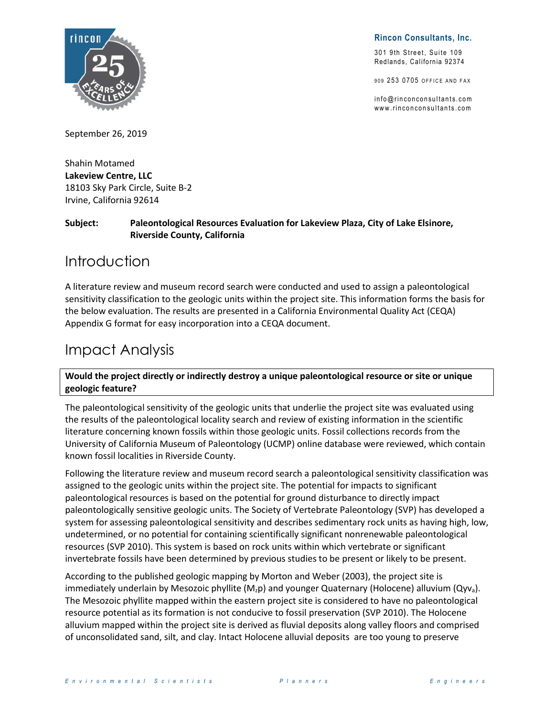

**Rincon Consultants, Inc.**

301 9th Street, Suite 109 Redlands, California 92374

909 253 0705 OFFICE AND FAX

 $info@rincon$ con sultants.com www.rinconconsultants.com

September 26, 2019

Shahin Motamed **Lakeview Centre, LLC** 18103 Sky Park Circle, Suite B-2 Irvine, California 92614

**Subject: Paleontological Resources Evaluation for Lakeview Plaza, City of Lake Elsinore, Riverside County, California**

## Introduction

A literature review and museum record search were conducted and used to assign a paleontological sensitivity classification to the geologic units within the project site. This information forms the basis for the below evaluation. The results are presented in a California Environmental Quality Act (CEQA) Appendix G format for easy incorporation into a CEQA document.

## Impact Analysis

**Would the project directly or indirectly destroy a unique paleontological resource or site or unique geologic feature?**

The paleontological sensitivity of the geologic units that underlie the project site was evaluated using the results of the paleontological locality search and review of existing information in the scientific literature concerning known fossils within those geologic units. Fossil collections records from the University of California Museum of Paleontology (UCMP) online database were reviewed, which contain known fossil localities in Riverside County.

Following the literature review and museum record search a paleontological sensitivity classification was assigned to the geologic units within the project site. The potential for impacts to significant paleontological resources is based on the potential for ground disturbance to directly impact paleontologically sensitive geologic units. The Society of Vertebrate Paleontology (SVP) has developed a system for assessing paleontological sensitivity and describes sedimentary rock units as having high, low, undetermined, or no potential for containing scientifically significant nonrenewable paleontological resources (SVP 2010). This system is based on rock units within which vertebrate or significant invertebrate fossils have been determined by previous studies to be present or likely to be present.

According to the published geologic mapping by Morton and Weber (2003), the project site is immediately underlain by Mesozoic phyllite ( $M_2$ p) and younger Quaternary (Holocene) alluvium (Qyva). The Mesozoic phyllite mapped within the eastern project site is considered to have no paleontological resource potential as its formation is not conducive to fossil preservation (SVP 2010). The Holocene alluvium mapped within the project site is derived as fluvial deposits along valley floors and comprised of unconsolidated sand, silt, and clay. Intact Holocene alluvial deposits are too young to preserve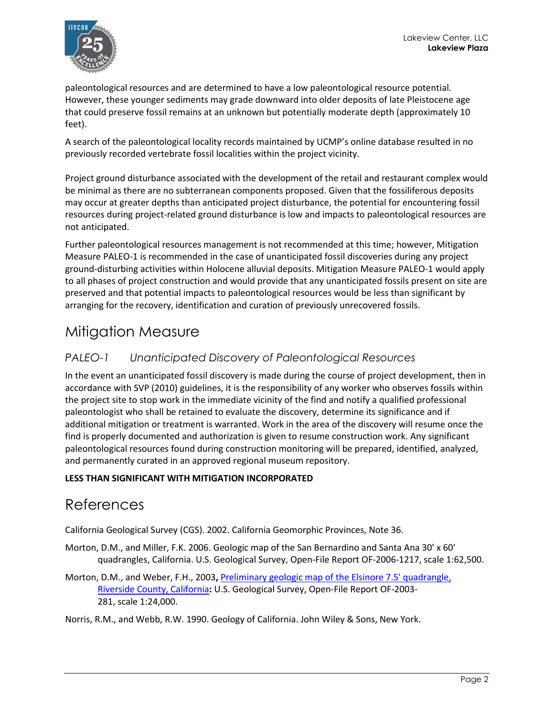

paleontological resources and are determined to have a low paleontological resource potential. However, these younger sediments may grade downward into older deposits of late Pleistocene age that could preserve fossil remains at an unknown but potentially moderate depth (approximately 10 feet).

A search of the paleontological locality records maintained by UCMP's online database resulted in no previously recorded vertebrate fossil localities within the project vicinity.

Project ground disturbance associated with the development of the retail and restaurant complex would be minimal as there are no subterranean components proposed. Given that the fossiliferous deposits may occur at greater depths than anticipated project disturbance, the potential for encountering fossil resources during project-related ground disturbance is low and impacts to paleontological resources are not anticipated.

Further paleontological resources management is not recommended at this time; however, Mitigation Measure PALEO-1 is recommended in the case of unanticipated fossil discoveries during any project ground-disturbing activities within Holocene alluvial deposits. Mitigation Measure PALEO-1 would apply to all phases of project construction and would provide that any unanticipated fossils present on site are preserved and that potential impacts to paleontological resources would be less than significant by arranging for the recovery, identification and curation of previously unrecovered fossils.

# Mitigation Measure

### *PALEO-1 Unanticipated Discovery of Paleontological Resources*

In the event an unanticipated fossil discovery is made during the course of project development, then in accordance with SVP (2010) guidelines, it is the responsibility of any worker who observes fossils within the project site to stop work in the immediate vicinity of the find and notify a qualified professional paleontologist who shall be retained to evaluate the discovery, determine its significance and if additional mitigation or treatment is warranted. Work in the area of the discovery will resume once the find is properly documented and authorization is given to resume construction work. Any significant paleontological resources found during construction monitoring will be prepared, identified, analyzed, and permanently curated in an approved regional museum repository.

#### **LESS THAN SIGNIFICANT WITH MITIGATION INCORPORATED**

### References

California Geological Survey (CGS). 2002. California Geomorphic Provinces, Note 36.

- Morton, D.M., and Miller, F.K. 2006. Geologic map of the San Bernardino and Santa Ana 30' x 60' quadrangles, California. U.S. Geological Survey, Open-File Report OF-2006-1217, scale 1:62,500.
- Morton, D.M., and Weber, F.H., 2003**,** Preliminary geologic map of the Elsinore 7.5' quadrangle, Riverside County, California**:** U.S. Geological Survey, Open-File Report OF-2003- 281, scale 1:24,000.

Norris, R.M., and Webb, R.W. 1990. Geology of California. John Wiley & Sons, New York.